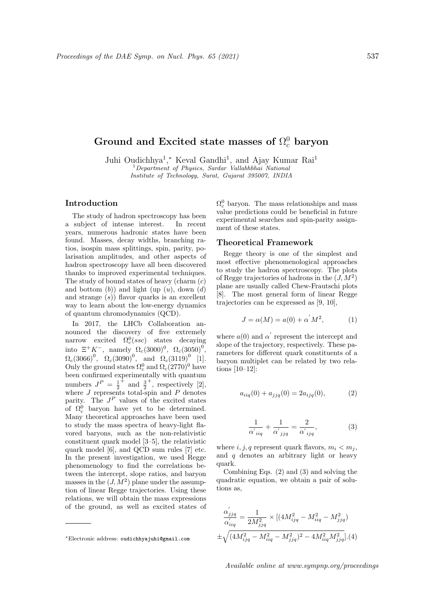# Ground and Excited state masses of  $\Omega_c^0$  baryon

Juhi Oudichhya<sup>1</sup>,\* Keval Gandhi<sup>1</sup>, and Ajay Kumar Rai<sup>1</sup>  ${}^{1}$ Department of Physics, Sardar Vallabhbhai National Institute of Technology, Surat, Gujarat 395007, INDIA

## Introduction

The study of hadron spectroscopy has been a subject of intense interest. In recent years, numerous hadronic states have been found. Masses, decay widths, branching ratios, isospin mass splittings, spin, parity, polarisation amplitudes, and other aspects of hadron spectroscopy have all been discovered thanks to improved experimental techniques. The study of bound states of heavy (charm  $(c)$ ) and bottom  $(b)$ ) and light (up  $(u)$ , down  $(d)$ ) and strange  $(s)$ ) flavor quarks is an excellent way to learn about the low-energy dynamics of quantum chromodynamics (QCD).

In 2017, the LHCb Collaboration announced the discovery of five extremely narrow excited  $\Omega_c^0(ssc)$  states decaying into  $\Xi^+ K^-$ , namely  $\Omega_c(3000)^0$ ,  $\Omega_c(3050)^0$ ,  $\Omega_c(3066)^0$ ,  $\Omega_c(3090)^0$ , and  $\Omega_c(3119)^0$  [1]. Only the ground states  $\Omega_c^0$  and  $\Omega_c(2770)^0$  have been confirmed experimentally with quantum numbers  $J^P = \frac{1}{2}$  $+\frac{3}{2}$ + , respectively [2], where  $J$  represents total-spin and  $P$  denotes parity. The  $J^P$  values of the excited states of  $\Omega_c^0$  baryon have yet to be determined. Many theoretical approaches have been used to study the mass spectra of heavy-light flavored baryons, such as the non-relativistic constituent quark model [3–5], the relativistic quark model [6], and QCD sum rules [7] etc. In the present investigation, we used Regge phenomenology to find the correlations between the intercept, slope ratios, and baryon masses in the  $(J, M^2)$  plane under the assumption of linear Regge trajectories. Using these relations, we will obtain the mass expressions of the ground, as well as excited states of

 $\Omega_c^0$  baryon. The mass relationships and mass value predictions could be beneficial in future experimental searches and spin-parity assignment of these states.

### Theoretical Framework

Regge theory is one of the simplest and most effective phenomenological approaches to study the hadron spectroscopy. The plots of Regge trajectories of hadrons in the  $(J, M^2)$ plane are usually called Chew-Frautschi plots [8]. The most general form of linear Regge trajectories can be expressed as [9, 10],

$$
J = \alpha(M) = a(0) + \alpha^{'}M^{2}, \qquad (1)
$$

where  $a(0)$  and  $\alpha'$  represent the intercept and slope of the trajectory, respectively. These parameters for different quark constituents of a baryon multiplet can be related by two relations [10–12]:

$$
a_{iiq}(0) + a_{jjq}(0) = 2a_{ijq}(0),
$$
 (2)

$$
\frac{1}{\alpha'_{iiq}} + \frac{1}{\alpha'_{jjq}} = \frac{2}{\alpha'_{ijq}},\tag{3}
$$

where i, j, q represent quark flavors,  $m_i < m_j$ , and  $q$  denotes an arbitrary light or heavy quark.

Combining Eqs. (2) and (3) and solving the quadratic equation, we obtain a pair of solutions as,

$$
\frac{\alpha'_{jjq}}{\alpha'_{iiq}} = \frac{1}{2M_{jjq}^2} \times \left[ (4M_{ijq}^2 - M_{iiq}^2 - M_{jjq}^2) + \sqrt{(4M_{ijq}^2 - M_{iiq}^2 - M_{jjq}^2)^2 - 4M_{iiq}^2 M_{jjq}^2} \right].(4)
$$

<sup>∗</sup>Electronic address: oudichhyajuhi@gmail.com